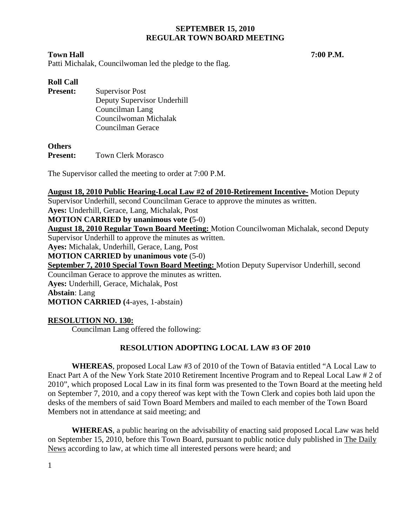#### **Town Hall 7:00 P.M.**

Patti Michalak, Councilwoman led the pledge to the flag.

# **Roll Call**

**Present:** Supervisor Post Deputy Supervisor Underhill Councilman Lang Councilwoman Michalak Councilman Gerace

### **Others**

Present: Town Clerk Morasco

The Supervisor called the meeting to order at 7:00 P.M.

#### **August 18, 2010 Public Hearing-Local Law #2 of 2010-Retirement Incentive-** Motion Deputy

Supervisor Underhill, second Councilman Gerace to approve the minutes as written.

**Ayes:** Underhill, Gerace, Lang, Michalak, Post

# **MOTION CARRIED by unanimous vote (**5-0)

**August 18, 2010 Regular Town Board Meeting:** Motion Councilwoman Michalak, second Deputy Supervisor Underhill to approve the minutes as written.

**Ayes:** Michalak, Underhill, Gerace, Lang, Post

**MOTION CARRIED by unanimous vote** (5-0)

**September 7, 2010 Special Town Board Meeting:** Motion Deputy Supervisor Underhill, second

Councilman Gerace to approve the minutes as written.

**Ayes:** Underhill, Gerace, Michalak, Post **Abstain**: Lang

**MOTION CARRIED (**4-ayes, 1-abstain)

# **RESOLUTION NO. 130:**

Councilman Lang offered the following:

# **RESOLUTION ADOPTING LOCAL LAW #3 OF 2010**

**WHEREAS**, proposed Local Law #3 of 2010 of the Town of Batavia entitled "A Local Law to Enact Part A of the New York State 2010 Retirement Incentive Program and to Repeal Local Law # 2 of 2010", which proposed Local Law in its final form was presented to the Town Board at the meeting held on September 7, 2010, and a copy thereof was kept with the Town Clerk and copies both laid upon the desks of the members of said Town Board Members and mailed to each member of the Town Board Members not in attendance at said meeting; and

**WHEREAS**, a public hearing on the advisability of enacting said proposed Local Law was held on September 15, 2010, before this Town Board, pursuant to public notice duly published in The Daily News according to law, at which time all interested persons were heard; and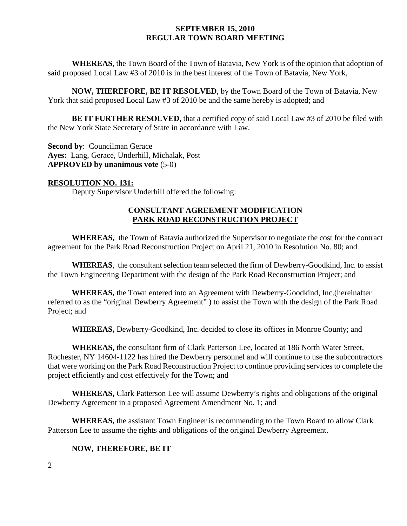**WHEREAS**, the Town Board of the Town of Batavia, New York is of the opinion that adoption of said proposed Local Law #3 of 2010 is in the best interest of the Town of Batavia, New York,

**NOW, THEREFORE, BE IT RESOLVED**, by the Town Board of the Town of Batavia, New York that said proposed Local Law #3 of 2010 be and the same hereby is adopted; and

**BE IT FURTHER RESOLVED**, that a certified copy of said Local Law #3 of 2010 be filed with the New York State Secretary of State in accordance with Law.

**Second by**: Councilman Gerace **Ayes:** Lang, Gerace, Underhill, Michalak, Post **APPROVED by unanimous vote** (5-0)

### **RESOLUTION NO. 131:**

Deputy Supervisor Underhill offered the following:

### **CONSULTANT AGREEMENT MODIFICATION PARK ROAD RECONSTRUCTION PROJECT**

**WHEREAS,** the Town of Batavia authorized the Supervisor to negotiate the cost for the contract agreement for the Park Road Reconstruction Project on April 21, 2010 in Resolution No. 80; and

**WHEREAS**, the consultant selection team selected the firm of Dewberry-Goodkind, Inc. to assist the Town Engineering Department with the design of the Park Road Reconstruction Project; and

**WHEREAS,** the Town entered into an Agreement with Dewberry-Goodkind, Inc.(hereinafter referred to as the "original Dewberry Agreement" ) to assist the Town with the design of the Park Road Project; and

**WHEREAS,** Dewberry-Goodkind, Inc. decided to close its offices in Monroe County; and

**WHEREAS,** the consultant firm of Clark Patterson Lee, located at 186 North Water Street, Rochester, NY 14604-1122 has hired the Dewberry personnel and will continue to use the subcontractors that were working on the Park Road Reconstruction Project to continue providing services to complete the project efficiently and cost effectively for the Town; and

**WHEREAS,** Clark Patterson Lee will assume Dewberry's rights and obligations of the original Dewberry Agreement in a proposed Agreement Amendment No. 1; and

**WHEREAS,** the assistant Town Engineer is recommending to the Town Board to allow Clark Patterson Lee to assume the rights and obligations of the original Dewberry Agreement.

### **NOW, THEREFORE, BE IT**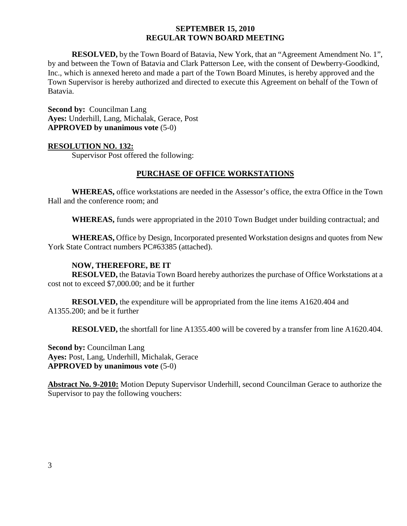**RESOLVED,** by the Town Board of Batavia, New York, that an "Agreement Amendment No. 1", by and between the Town of Batavia and Clark Patterson Lee, with the consent of Dewberry-Goodkind, Inc., which is annexed hereto and made a part of the Town Board Minutes, is hereby approved and the Town Supervisor is hereby authorized and directed to execute this Agreement on behalf of the Town of Batavia.

**Second by: Councilman Lang Ayes:** Underhill, Lang, Michalak, Gerace, Post **APPROVED by unanimous vote** (5-0)

### **RESOLUTION NO. 132:**

Supervisor Post offered the following:

### **PURCHASE OF OFFICE WORKSTATIONS**

**WHEREAS,** office workstations are needed in the Assessor's office, the extra Office in the Town Hall and the conference room; and

**WHEREAS,** funds were appropriated in the 2010 Town Budget under building contractual; and

**WHEREAS,** Office by Design, Incorporated presented Workstation designs and quotes from New York State Contract numbers PC#63385 (attached).

### **NOW, THEREFORE, BE IT**

**RESOLVED,** the Batavia Town Board hereby authorizes the purchase of Office Workstations at a cost not to exceed \$7,000.00; and be it further

**RESOLVED,** the expenditure will be appropriated from the line items A1620.404 and A1355.200; and be it further

**RESOLVED,** the shortfall for line A1355.400 will be covered by a transfer from line A1620.404.

**Second by: Councilman Lang Ayes:** Post, Lang, Underhill, Michalak, Gerace **APPROVED by unanimous vote** (5-0)

**Abstract No. 9-2010:** Motion Deputy Supervisor Underhill, second Councilman Gerace to authorize the Supervisor to pay the following vouchers: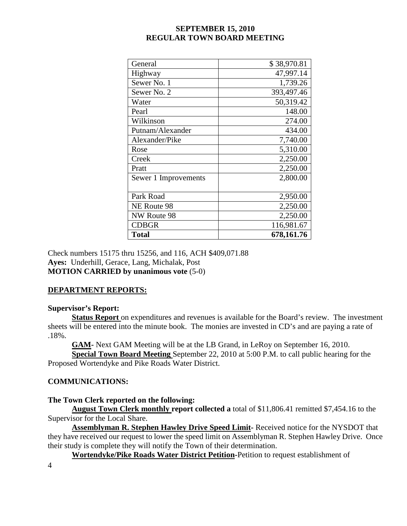| General              | \$38,970.81 |
|----------------------|-------------|
| Highway              | 47,997.14   |
| Sewer No. 1          | 1,739.26    |
| Sewer No. 2          | 393,497.46  |
| Water                | 50,319.42   |
| Pearl                | 148.00      |
| Wilkinson            | 274.00      |
| Putnam/Alexander     | 434.00      |
| Alexander/Pike       | 7,740.00    |
| Rose                 | 5,310.00    |
| Creek                | 2,250.00    |
| Pratt                | 2,250.00    |
| Sewer 1 Improvements | 2,800.00    |
| Park Road            | 2,950.00    |
| NE Route 98          | 2,250.00    |
| NW Route 98          | 2,250.00    |
| <b>CDBGR</b>         | 116,981.67  |
| <b>Total</b>         | 678,161.76  |

Check numbers 15175 thru 15256, and 116, ACH \$409,071.88 **Ayes:** Underhill, Gerace, Lang, Michalak, Post **MOTION CARRIED by unanimous vote** (5-0)

# **DEPARTMENT REPORTS:**

# **Supervisor's Report:**

**Status Report** on expenditures and revenues is available for the Board's review. The investment sheets will be entered into the minute book. The monies are invested in CD's and are paying a rate of .18%.

**GAM-** Next GAM Meeting will be at the LB Grand, in LeRoy on September 16, 2010.

**Special Town Board Meeting** September 22, 2010 at 5:00 P.M. to call public hearing for the Proposed Wortendyke and Pike Roads Water District.

# **COMMUNICATIONS:**

# **The Town Clerk reported on the following:**

**August Town Clerk monthly report collected a** total of \$11,806.41 remitted \$7,454.16 to the Supervisor for the Local Share.

**Assemblyman R. Stephen Hawley Drive Speed Limit-** Received notice for the NYSDOT that they have received our request to lower the speed limit on Assemblyman R. Stephen Hawley Drive. Once their study is complete they will notify the Town of their determination.

**Wortendyke/Pike Roads Water District Petition-**Petition to request establishment of

4